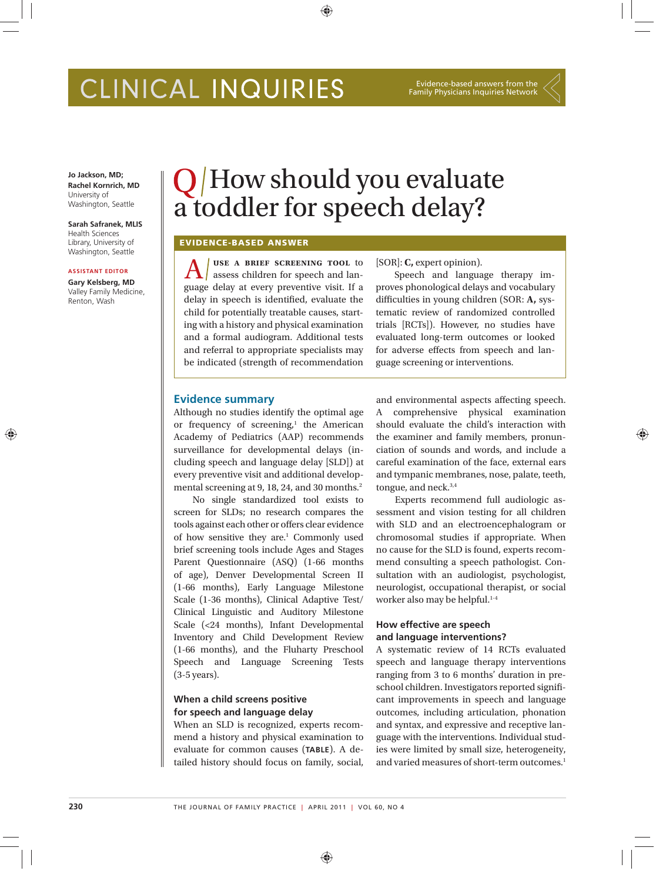# CLINICAL INQUIRIES

Evidence-based answers from the Family Physicians Inquiries Network

**Jo Jackson, MD; Rachel Kornrich, MD** University of Washington, Seattle

**Sarah Safranek, MLIS** Health Sciences Library, University of Washington, Seattle

#### **ASSISTANT EDITOR**

⊕

**Gary Kelsberg, MD** Valley Family Medicine, Renton, Wash

## $\bigcirc$  /How should you evaluate a toddler for speech delay?

⊕

#### **EVIDENCE-BASED ANSWER**

A use A BRIEF SCREENING TOOL to assess children for speech and language delay at every preventive visit. If a **use a brief screening tool** to assess children for speech and landelay in speech is identified, evaluate the child for potentially treatable causes, starting with a history and physical examination and a formal audiogram. Additional tests and referral to appropriate specialists may be indicated (strength of recommendation

[SOR]: **C,** expert opinion).

Speech and language therapy improves phonological delays and vocabulary difficulties in young children (SOR: A, systematic review of randomized controlled trials [RCTs]). However, no studies have evaluated long-term outcomes or looked for adverse effects from speech and language screening or interventions.

#### **Evidence summary**

Although no studies identify the optimal age or frequency of screening, $1$  the American Academy of Pediatrics (AAP) recommends surveillance for developmental delays (including speech and language delay [SLD]) at every preventive visit and additional developmental screening at 9, 18, 24, and 30 months.<sup>2</sup>

No single standardized tool exists to screen for SLDs; no research compares the tools against each other or offers clear evidence of how sensitive they are.<sup>1</sup> Commonly used brief screening tools include Ages and Stages Parent Questionnaire (ASQ) (1-66 months of age), Denver Developmental Screen II (1-66 months), Early Language Milestone Scale (1-36 months), Clinical Adaptive Test/ Clinical Linguistic and Auditory Milestone Scale (<24 months), Infant Developmental Inventory and Child Development Review (1-66 months), and the Fluharty Preschool Speech and Language Screening Tests (3-5 years).

#### **When a child screens positive for speech and language delay**

When an SLD is recognized, experts recommend a history and physical examination to evaluate for common causes (**TABLE**). A detailed history should focus on family, social, and environmental aspects affecting speech. A comprehensive physical examination should evaluate the child's interaction with the examiner and family members, pronunciation of sounds and words, and include a careful examination of the face, external ears and tympanic membranes, nose, palate, teeth, tongue, and neck.<sup>3,4</sup>

Experts recommend full audiologic assessment and vision testing for all children with SLD and an electroencephalogram or chromosomal studies if appropriate. When no cause for the SLD is found, experts recommend consulting a speech pathologist. Consultation with an audiologist, psychologist, neurologist, occupational therapist, or social worker also may be helpful.<sup>1-4</sup>

#### **How effective are speech and language interventions?**

A systematic review of 14 RCTs evaluated speech and language therapy interventions ranging from 3 to 6 months' duration in preschool children. Investigators reported signifi cant improvements in speech and language outcomes, including articulation, phonation and syntax, and expressive and receptive language with the interventions. Individual studies were limited by small size, heterogeneity, and varied measures of short-term outcomes.<sup>1</sup> ⊕